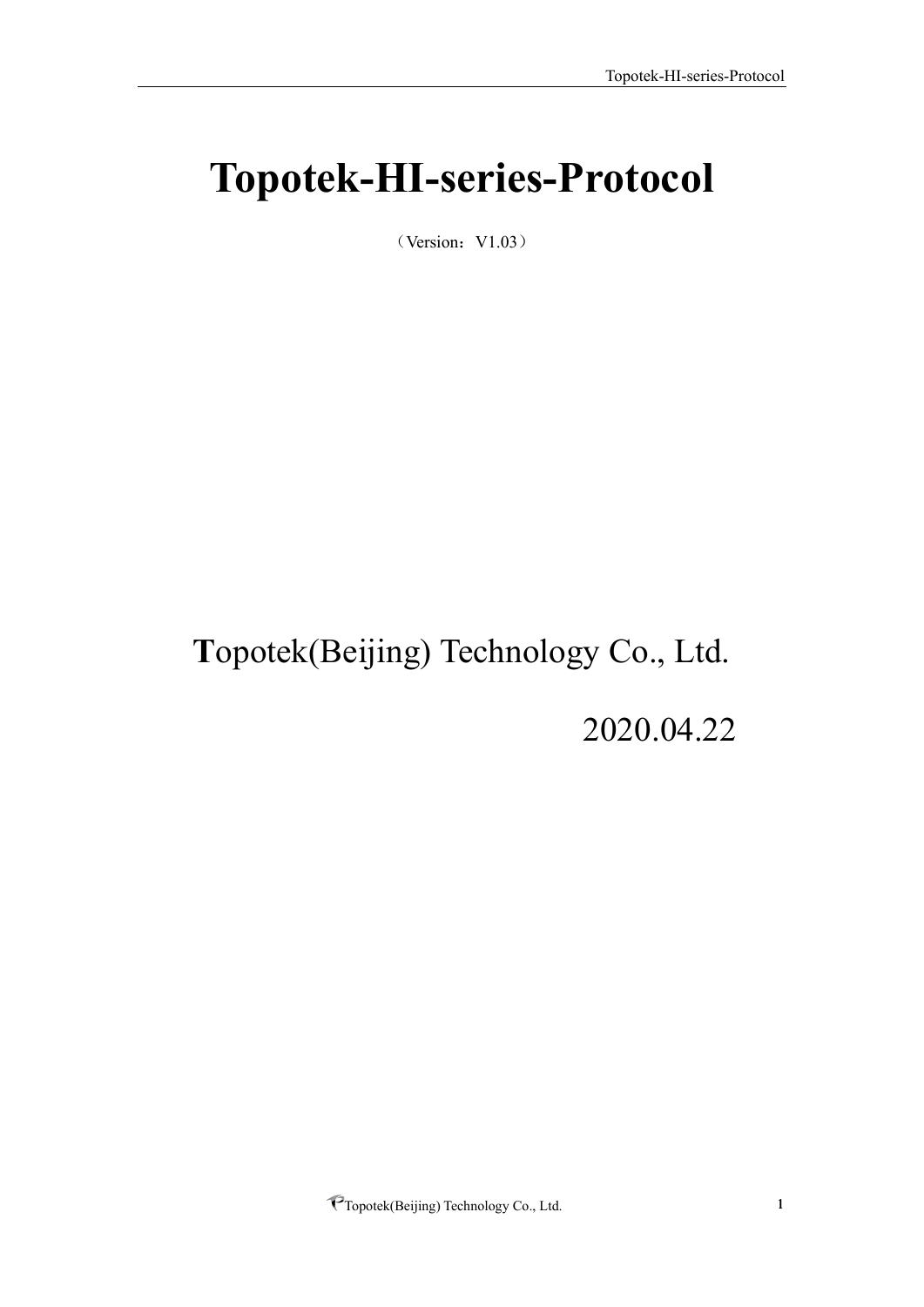# <span id="page-0-0"></span>**Topotek-HI-series-Protocol**

 $(Version: V1.03)$ 

# **T**opotek(Beijing) Technology Co., Ltd.

2020.04.22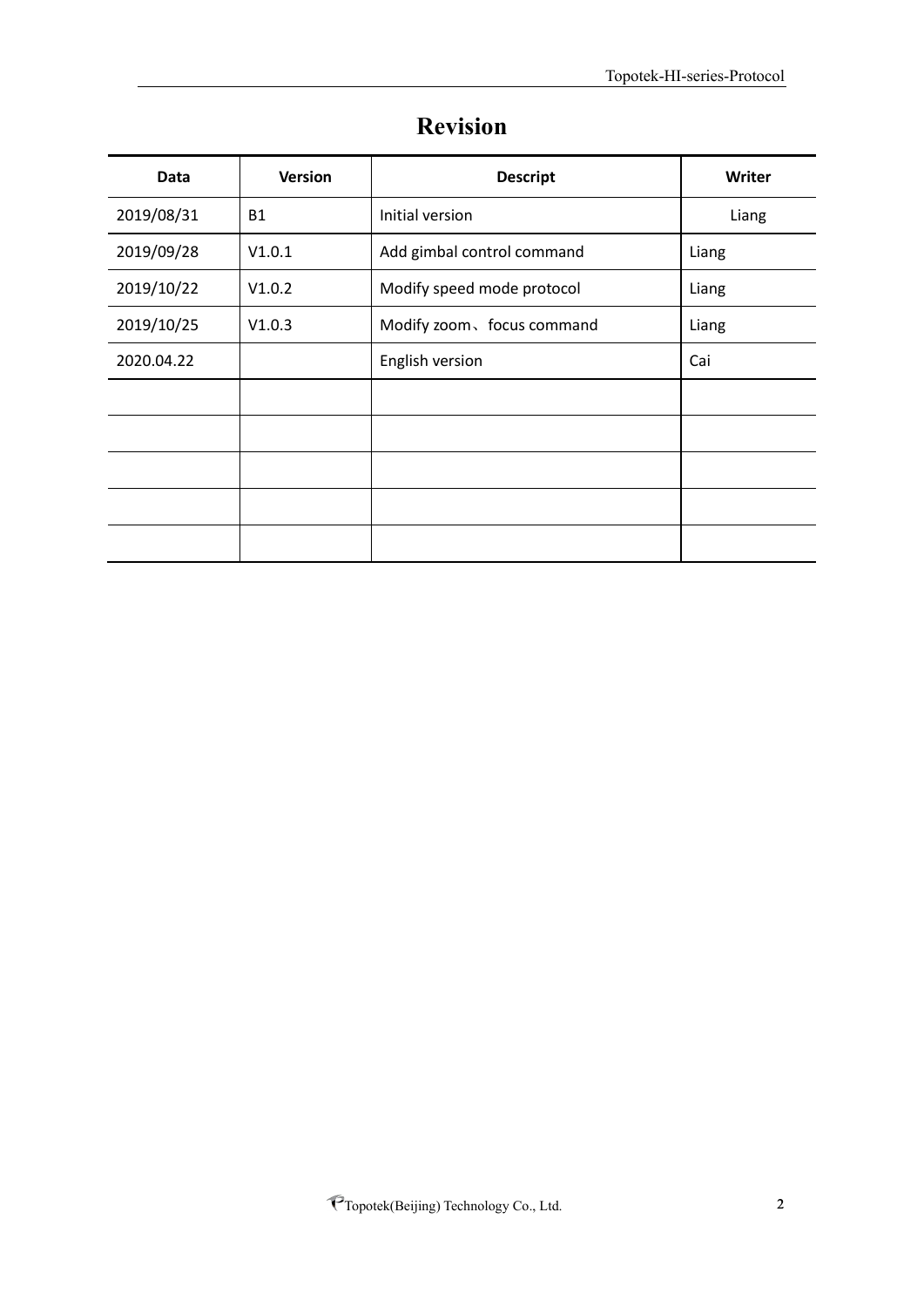<span id="page-1-0"></span>

| Data       | <b>Version</b> | <b>Descript</b>            | Writer |
|------------|----------------|----------------------------|--------|
| 2019/08/31 | <b>B1</b>      | Initial version            | Liang  |
| 2019/09/28 | V1.0.1         | Add gimbal control command | Liang  |
| 2019/10/22 | V1.0.2         | Modify speed mode protocol | Liang  |
| 2019/10/25 | V1.0.3         | Modify zoom, focus command | Liang  |
| 2020.04.22 |                | English version            | Cai    |
|            |                |                            |        |
|            |                |                            |        |
|            |                |                            |        |
|            |                |                            |        |
|            |                |                            |        |

# **Revision**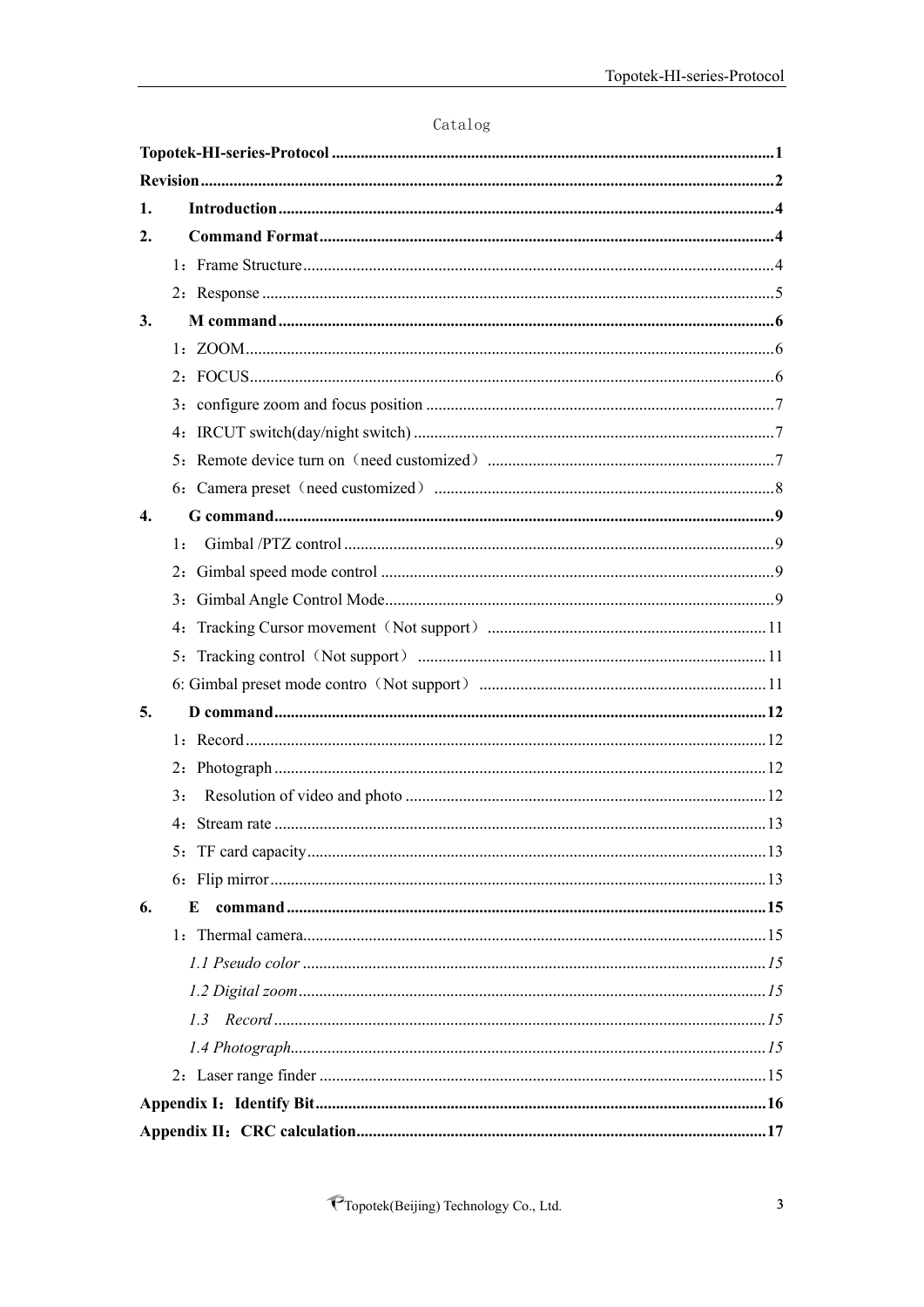| Catalog |
|---------|
|---------|

| 1.               |    |
|------------------|----|
| 2.               |    |
|                  |    |
|                  |    |
| 3.               |    |
|                  |    |
|                  |    |
|                  |    |
|                  |    |
|                  |    |
|                  |    |
| $\overline{4}$ . |    |
|                  | 1: |
|                  |    |
|                  |    |
|                  |    |
|                  |    |
|                  |    |
| 5.               |    |
|                  |    |
|                  |    |
|                  | 3: |
|                  |    |
|                  |    |
|                  |    |
| 6.               | E  |
|                  |    |
|                  |    |
|                  |    |
|                  |    |
|                  |    |
|                  |    |
|                  |    |
|                  |    |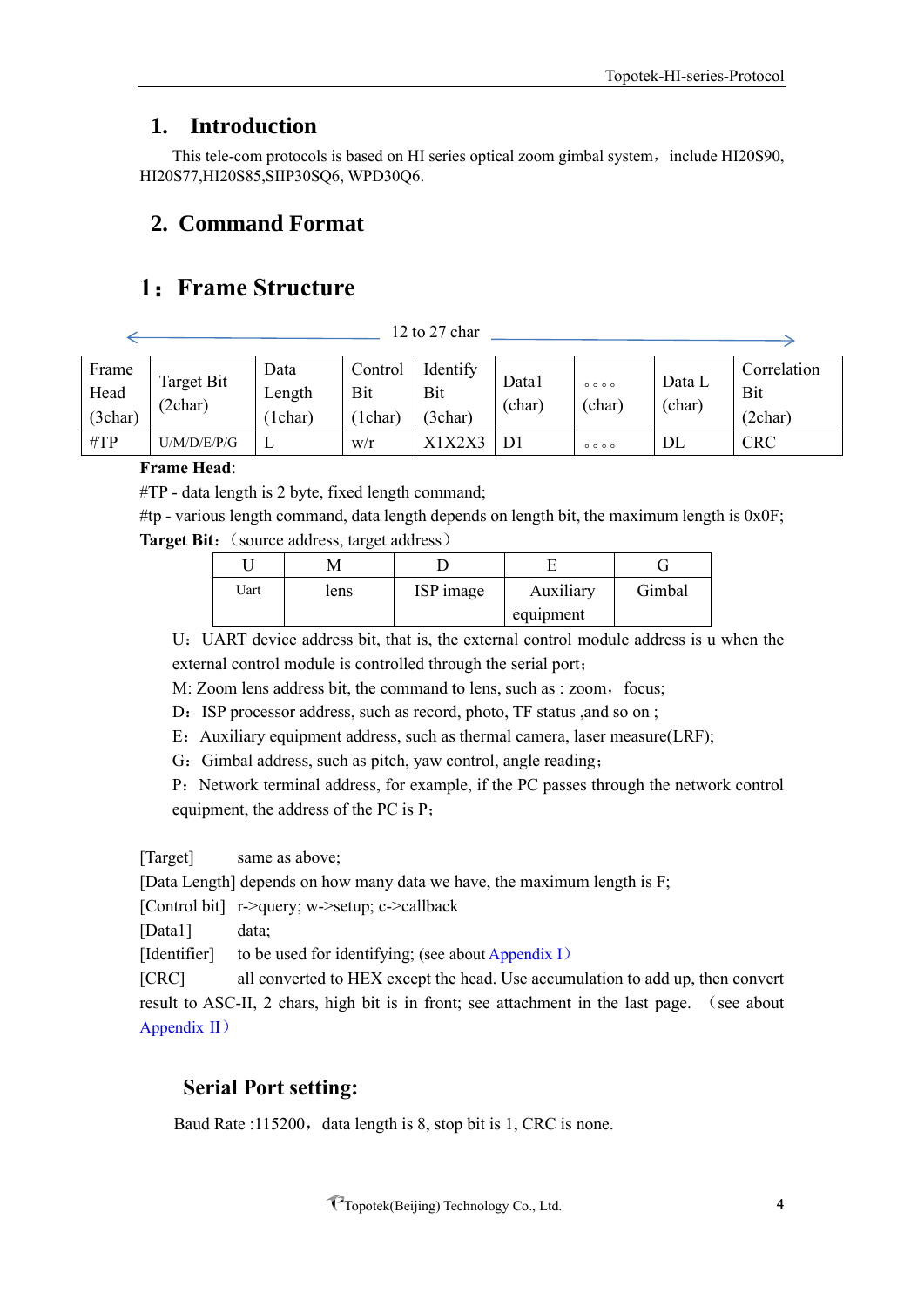# <span id="page-3-0"></span>**1. Introduction**

This tele-com protocols is based on HI series optical zoom gimbal system, include HI20S90, HI20S77,HI20S85,SIIP30SQ6, WPD30Q6.

# <span id="page-3-1"></span>**2. Command Format**

# <span id="page-3-2"></span>**1**:**Frame Structure**

12 to 27 char

| Frame<br>Head<br>(3char) | Target Bit<br>(2char) | Data<br>Length<br>1char) | Control<br>Bit<br>l char) | Identify<br>Bit<br>(3char) | Data1<br>(char) | 0000<br>(char)                  | Data L<br>(char) | Correlation<br>Bit<br>(2char |
|--------------------------|-----------------------|--------------------------|---------------------------|----------------------------|-----------------|---------------------------------|------------------|------------------------------|
| $\#TP$                   | U/M/D/E/P/G           |                          | W/r                       |                            | D1              | $\circ \circ \circ \circ \circ$ | DL               | <b>CRC</b>                   |

#### **Frame Head**:

#TP - data length is 2 byte, fixed length command;

 $\#$ tp - various length command, data length depends on length bit, the maximum length is 0x0F; **Target Bit:** (source address, target address)

| Uart | lens | ISP image | Auxiliary | Gimbal |
|------|------|-----------|-----------|--------|
|      |      |           | equipment |        |

U:UART device address bit, that is, the external control module address is u when the external control module is controlled through the serial port;

M: Zoom lens address bit, the command to lens, such as : zoom, focus;

D: ISP processor address, such as record, photo, TF status ,and so on ;

E:Auxiliary equipment address, such as thermal camera, laser measure(LRF);

G: Gimbal address, such as pitch, yaw control, angle reading;

P:Network terminal address, for example, if the PC passes through the network control equipment, the address of the PC is P;

[Target] same as above;

[Data Length] depends on how many data we have, the maximum length is F;

[Control bit] r->query; w->setup; c->callback

[Data1] data;

[Identifier] to be used for identifying; (see about Appendix I)

[CRC] all converted to HEX except the head. Use accumulation to add up, then convert result to ASC-II, 2 chars, high bit is in front; see attachment in the last page. (see about Appendix II)

# **Serial Port setting:**

Baud Rate :115200, data length is 8, stop bit is 1, CRC is none.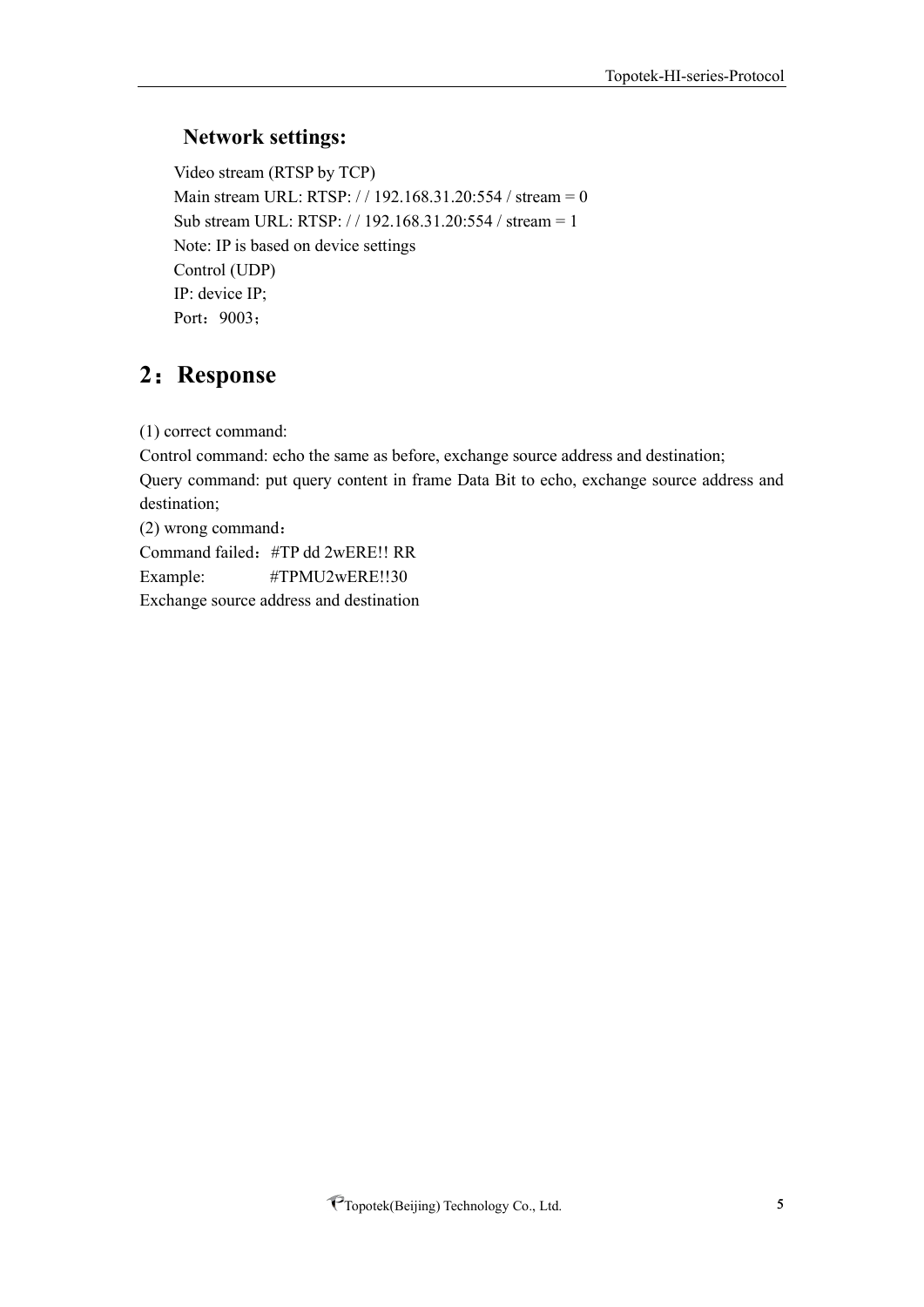## **Network settings:**

Video stream (RTSP by TCP) Main stream URL: RTSP: // 192.168.31.20:554 / stream = 0 Sub stream URL: RTSP: / / 192.168.31.20:554 / stream = 1 Note: IP is based on device settings Control (UDP) IP: device IP; Port: 9003;

# <span id="page-4-0"></span>**2**:**Response**

(1) correct command:

Control command: echo the same as before, exchange source address and destination; Query command: put query content in frame Data Bit to echo, exchange source address and destination;

(2) wrong command: Command failed:#TP dd 2wERE!! RR Example: #TPMU2wERE!!30

Exchange source address and destination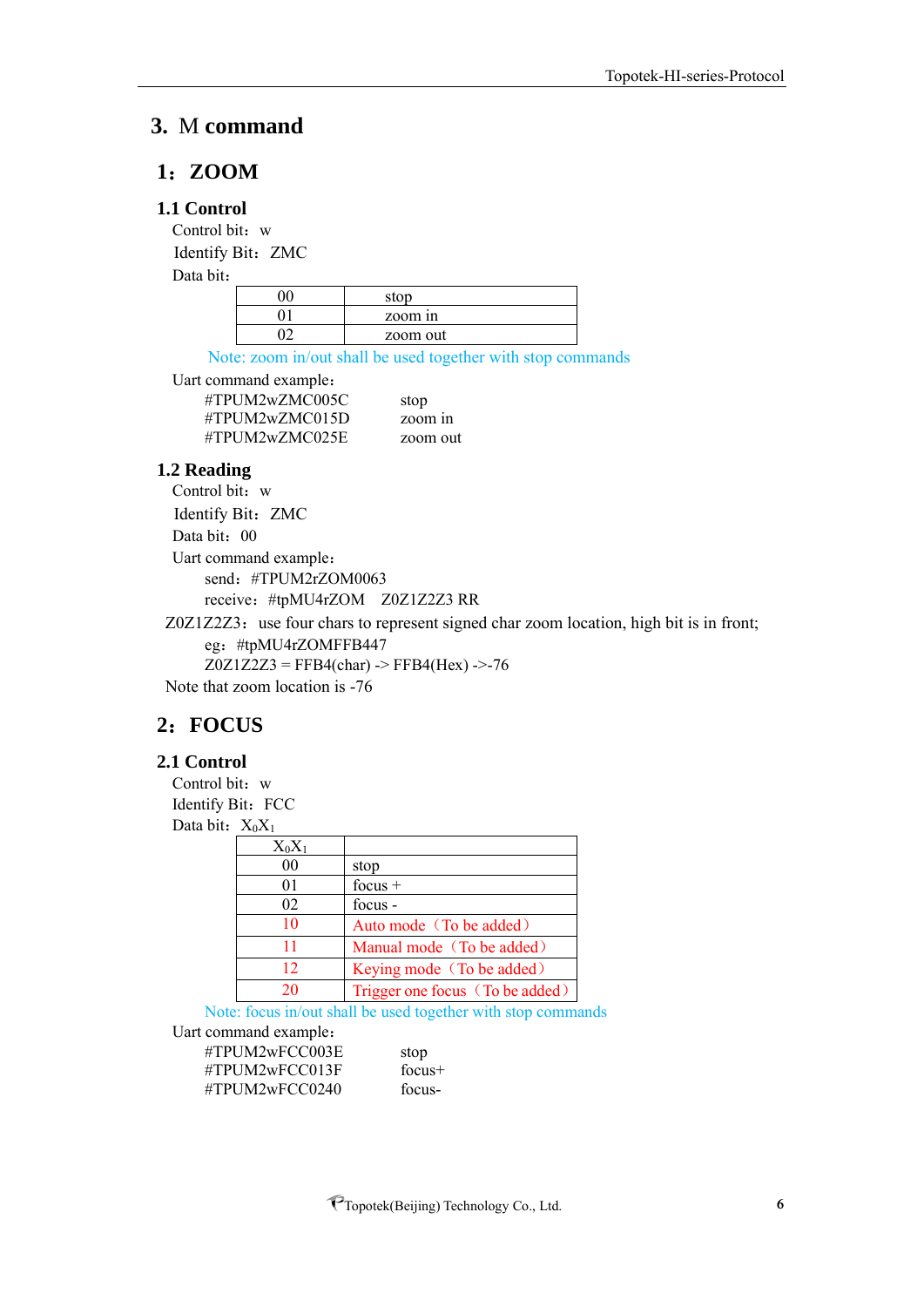# <span id="page-5-0"></span>**3.** M **command**

#### <span id="page-5-1"></span>**1**:**ZOOM**

#### **1.1 Control**

Control bit: w Identify Bit: ZMC

Data bit:

| stop     |
|----------|
| zoom in  |
| zoom out |

Note: zoom in/out shall be used together with stop commands

Uart command example:

#TPUM2wZMC005C stop #TPUM2wZMC015D zoom in #TPUM2wZMC025E zoom out

#### **1.2 Reading**

Control bit: w Identify Bit: ZMC Data bit: 00 Uart command example: send: #TPUM2rZOM0063 receive:#tpMU4rZOM Z0Z1Z2Z3 RR

Z0Z1Z2Z3: use four chars to represent signed char zoom location, high bit is in front; eg:#tpMU4rZOMFFB447  $Z0Z1Z2Z3 = FFB4(char)$  ->  $FFB4(Hex)$  ->-76

Note that zoom location is -76

# <span id="page-5-2"></span>**2**:**FOCUS**

#### **2.1 Control**

Control bit: w Identify Bit: FCC Data bit:  $X_0X_1$ 

| $X_0X_1$ |                                 |
|----------|---------------------------------|
| 00       | stop                            |
| 01       | $focus +$                       |
| 02       | focus -                         |
| 10       | Auto mode (To be added)         |
| 11       | Manual mode (To be added)       |
| 12       | Keying mode (To be added)       |
| 20       | Trigger one focus (To be added) |

Note: focus in/out shall be used together with stop commands

Uart command example:

#TPUM2wFCC003E stop #TPUM2wFCC013F focus+ #TPUM2wFCC0240 focus-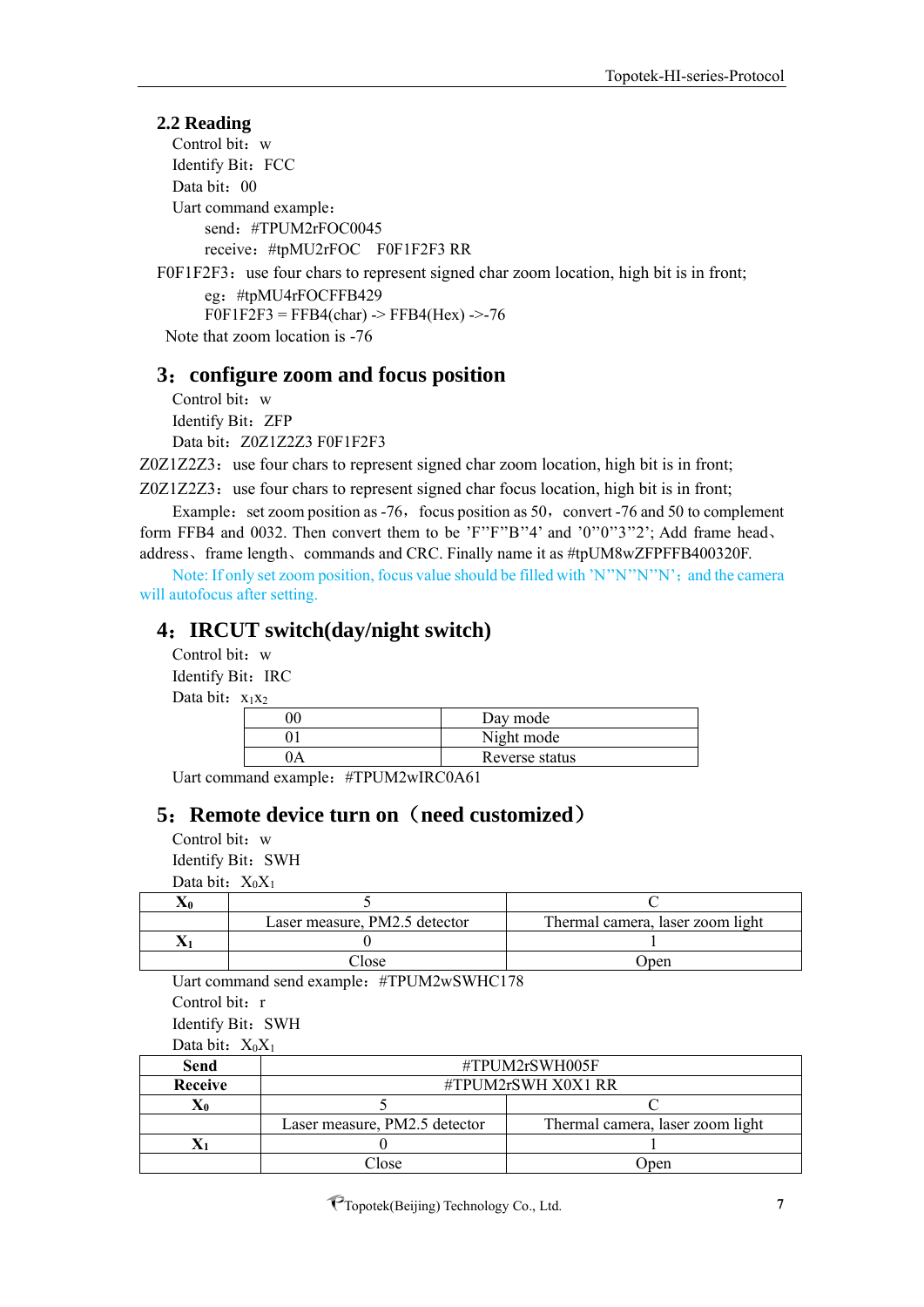#### **2.2 Reading**

Control bit: w Identify Bit: FCC Data bit: 00 Uart command example: send:#TPUM2rFOC0045 receive:#tpMU2rFOC F0F1F2F3 RR

F0F1F2F3: use four chars to represent signed char zoom location, high bit is in front; eg:#tpMU4rFOCFFB429  $F0F1F2F3 = FFB4(char)$  ->  $FFB4(Hex)$  ->-76 Note that zoom location is -76

#### <span id="page-6-0"></span>**3**:**configure zoom and focus position**

Control bit: w Identify Bit: ZFP Data bit: Z0Z1Z2Z3 F0F1F2F3

 $Z0Z1Z2Z3$ : use four chars to represent signed char zoom location, high bit is in front;

 $Z0Z1Z2Z3$ : use four chars to represent signed char focus location, high bit is in front; Example: set zoom position as  $-76$ , focus position as  $50$ , convert  $-76$  and  $50$  to complement

form FFB4 and 0032. Then convert them to be 'F''F''B''4' and '0''0''3''2'; Add frame head, address、frame length、commands and CRC. Finally name it as #tpUM8wZFPFFB400320F.

Note: If only set zoom position, focus value should be filled with 'N''N''N''N'; and the camera will autofocus after setting.

#### <span id="page-6-1"></span>**4**:**IRCUT switch(day/night switch)**

Control bit: w Identify Bit: IRC Data bit:  $x_1x_2$ 

| Day mode       |
|----------------|
| Night mode     |
| Reverse status |

Uart command example: #TPUM2wIRC0A61

# <span id="page-6-2"></span>**5**:**Remote device turn on**(**need customized**)

Control bit: w Identify Bit: SWH

Data bit:  $X_0X_1$ 

| Laser measure, PM2.5 detector | Thermal camera, laser zoom light |
|-------------------------------|----------------------------------|
|                               |                                  |
| $\gamma$ lose                 | Jpen                             |

Uart command send example:#TPUM2wSWHC178

Control bit: r

Identify Bit: SWH

Data bit:  $X_0X_1$ 

| Send           |                               | #TPUM2rSWH005F                   |  |  |  |  |  |
|----------------|-------------------------------|----------------------------------|--|--|--|--|--|
| <b>Receive</b> | $\#TPUM2rSWH X0X1 RR$         |                                  |  |  |  |  |  |
|                |                               |                                  |  |  |  |  |  |
|                | Laser measure, PM2.5 detector | Thermal camera, laser zoom light |  |  |  |  |  |
|                |                               |                                  |  |  |  |  |  |
|                | Close                         | Jpen                             |  |  |  |  |  |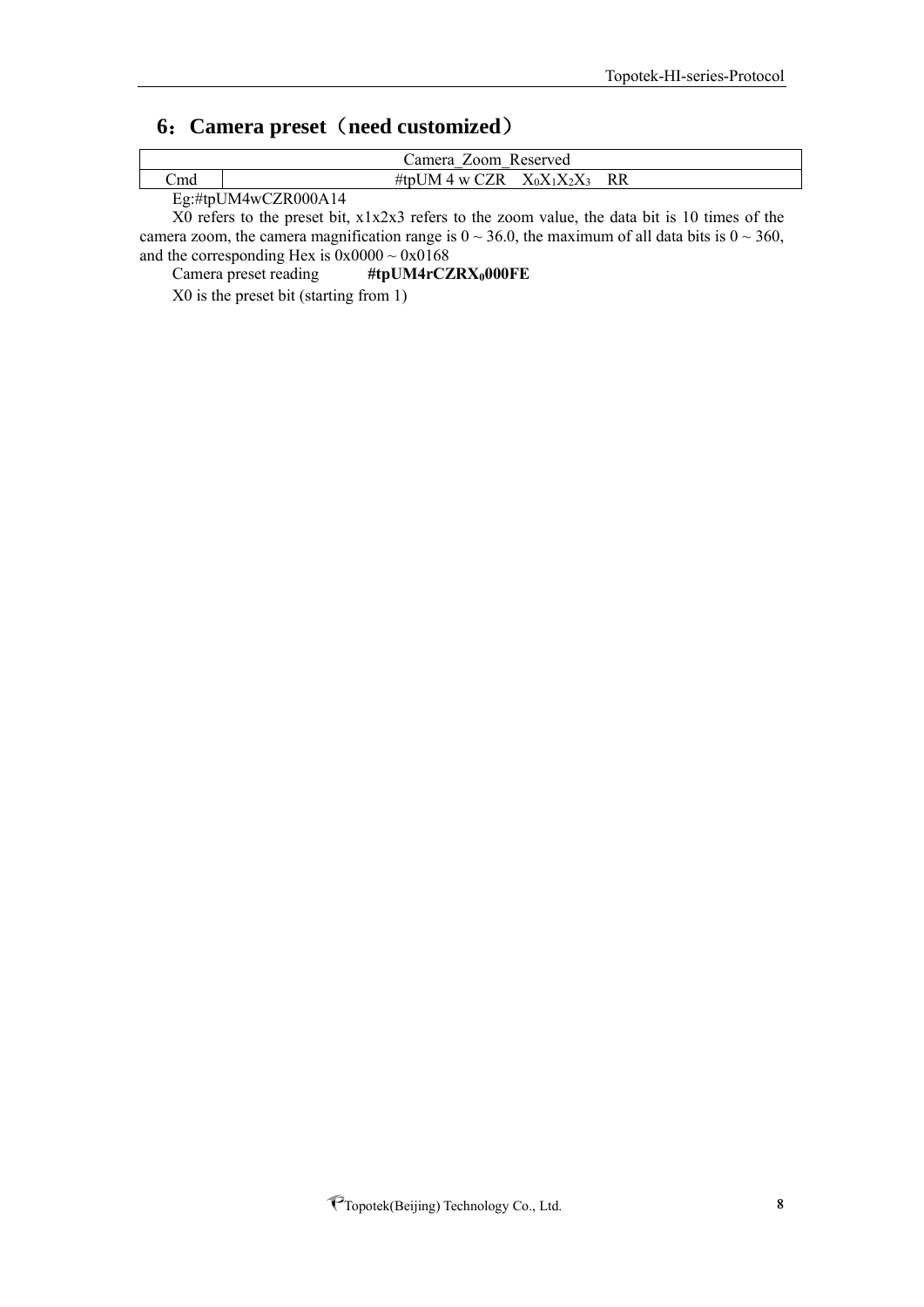# <span id="page-7-0"></span>**6**: Camera preset (need customized)

| Camera Zoom Reserved |                                                                     |               |                |           |  |
|----------------------|---------------------------------------------------------------------|---------------|----------------|-----------|--|
| ∠md                  |                                                                     | #tpUM 4 w CZR | $X_0X_1X_2X_3$ | <b>RR</b> |  |
|                      | $\Gamma_{\alpha}$ , $\#$ ta I IM $\Lambda_{\text{UV}}$ CZD 000 A 14 |               |                |           |  |

Eg:#tpUM4wCZR000A14

X0 refers to the preset bit, x1x2x3 refers to the zoom value, the data bit is 10 times of the camera zoom, the camera magnification range is  $0 \sim 36.0$ , the maximum of all data bits is  $0 \sim 360$ , and the corresponding Hex is  $0x0000 \sim 0x0168$ 

Camera preset reading **#tpUM4rCZRX0000FE**

X0 is the preset bit (starting from 1)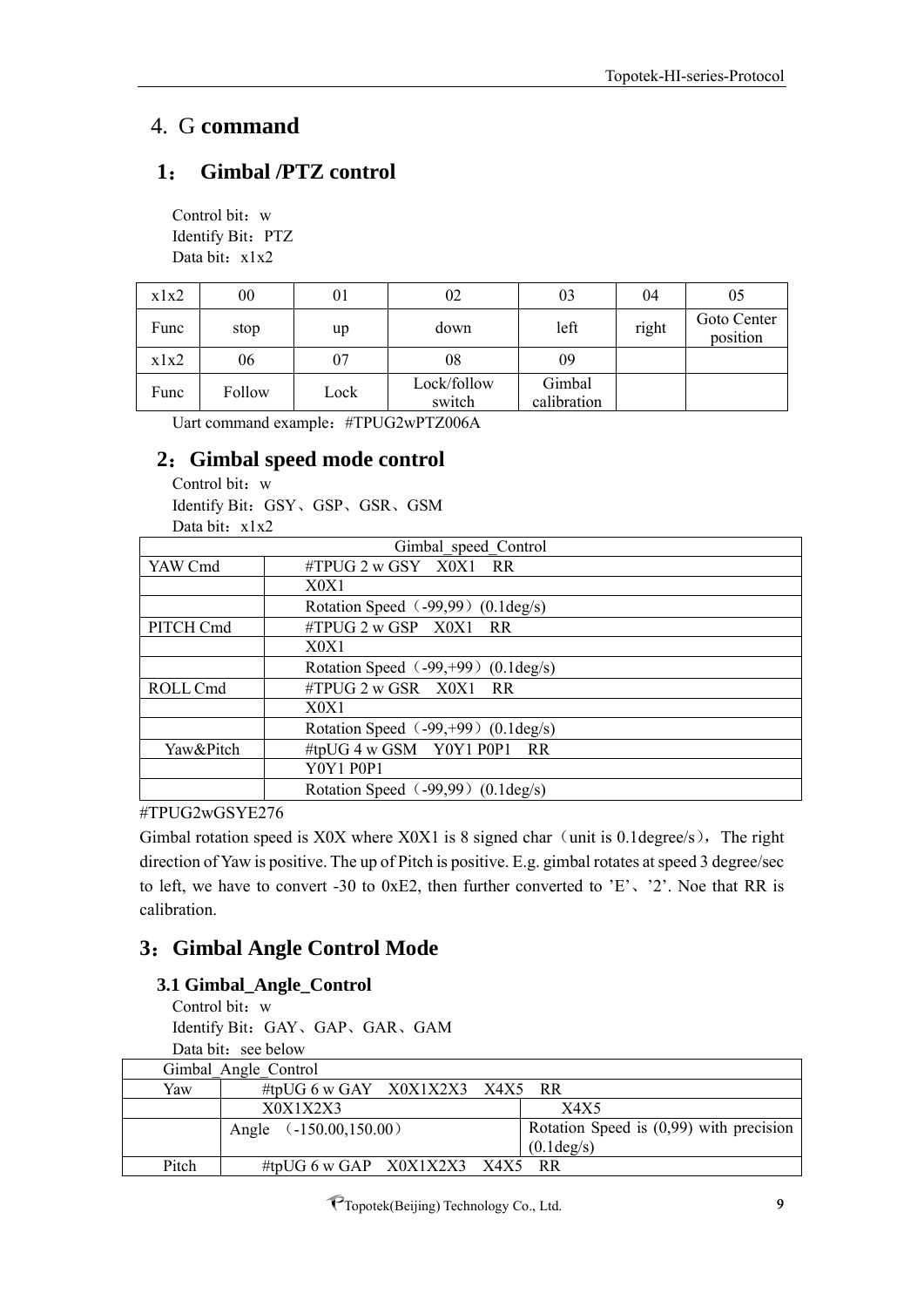# <span id="page-8-0"></span>4. G **command**

# <span id="page-8-1"></span>**1**: **Gimbal /PTZ control**

Control bit: w Identify Bit: PTZ Data bit: x1x2

| x1x2 | $00\,$ | 01   | 02                    | 03                    | 04    | 05                      |
|------|--------|------|-----------------------|-----------------------|-------|-------------------------|
| Func | stop   | up   | down                  | left                  | right | Goto Center<br>position |
| x1x2 | 06     | 07   | 08                    | 09                    |       |                         |
| Func | Follow | Lock | Lock/follow<br>switch | Gimbal<br>calibration |       |                         |

Uart command example:#TPUG2wPTZ006A

# <span id="page-8-2"></span>**2**:**Gimbal speed mode control**

Control bit: w Identify Bit:GSY、GSP、GSR、GSM Data bit: x1x2

|           | Gimbal speed Control                           |  |
|-----------|------------------------------------------------|--|
| YAW Cmd   | #TPUG 2 w GSY X0X1 RR                          |  |
|           | X0X1                                           |  |
|           | Rotation Speed (-99,99) (0.1 deg/s)            |  |
| PITCH Cmd | $\#TPUG$ 2 w GSP $X0X1$ RR                     |  |
|           | X0X1                                           |  |
|           | Rotation Speed $(-99, +99)$ (0.1 deg/s)        |  |
| ROLL Cmd  | $\#TPUG$ 2 w GSR $X0X1$ RR                     |  |
|           | X0X1                                           |  |
|           | Rotation Speed $(-99, +99)$ (0.1 deg/s)        |  |
| Yaw&Pitch | #tpUG 4 w GSM Y0Y1 P0P1 RR                     |  |
|           | <b>Y0Y1 P0P1</b>                               |  |
|           | Rotation Speed $(-99,99)$ $(0.1 \text{deg/s})$ |  |

#TPUG2wGSYE276

Gimbal rotation speed is X0X where X0X1 is 8 signed char (unit is 0.1degree/s), The right direction of Yaw is positive. The up of Pitch is positive. E.g. gimbal rotates at speed 3 degree/sec to left, we have to convert -30 to 0xE2, then further converted to 'E'、'2'. Noe that RR is calibration.

# <span id="page-8-3"></span>**3**:**Gimbal Angle Control Mode**

# **3.1 Gimbal\_Angle\_Control**

Control bit: w Identify Bit:GAY、GAP、GAR、GAM Data bit: see below

|       | Gimbal Angle Control             |                                           |
|-------|----------------------------------|-------------------------------------------|
| Yaw   | #tpUG 6 w GAY $X0X1X2X3$ X4X5 RR |                                           |
|       | X0X1X2X3                         | X4X5                                      |
|       | Angle $(-150.00, 150.00)$        | Rotation Speed is $(0,99)$ with precision |
|       |                                  | $(0.1 \text{deg/s})$                      |
| Pitch | #tpUG 6 w GAP $X0X1X2X3$ X4X5 RR |                                           |

PTopotek(Beijing) Technology Co., Ltd. 9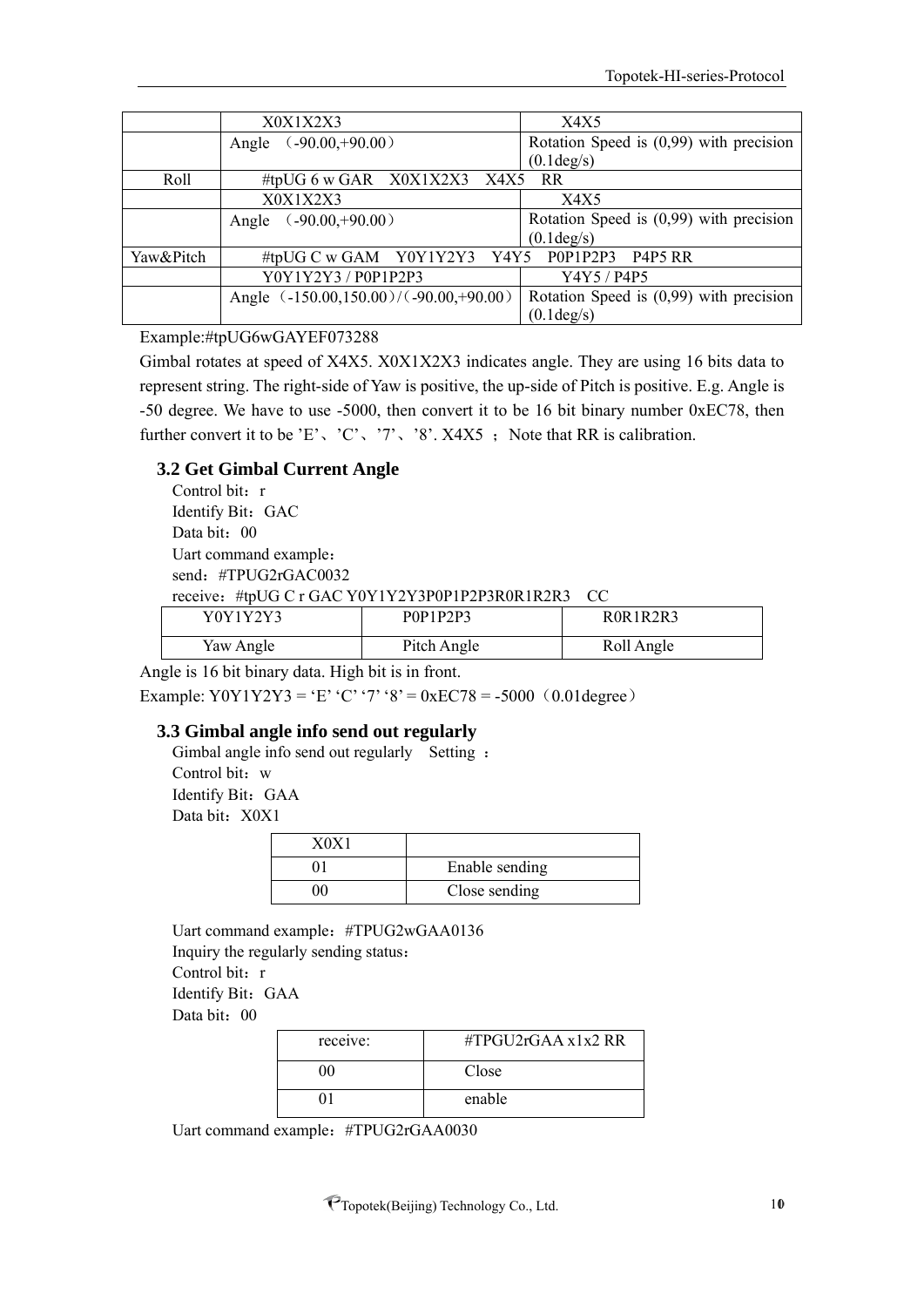|           | X0X1X2X3                                     | X4X5                                      |  |
|-----------|----------------------------------------------|-------------------------------------------|--|
|           | $(.90.00,+90.00)$<br>Angle                   | Rotation Speed is $(0,99)$ with precision |  |
|           |                                              | $(0.1 \text{deg/s})$                      |  |
| Roll      | #tpUG 6 w GAR X0X1X2X3 X4X5 RR               |                                           |  |
|           | X0X1X2X3                                     | X4X5                                      |  |
|           | $(.90.00,+90.00)$<br>Angle                   | Rotation Speed is $(0,99)$ with precision |  |
|           |                                              | $(0.1 \text{deg/s})$                      |  |
| Yaw&Pitch | #tpUG C w GAM Y0Y1Y2Y3 Y4Y5 P0P1P2P3 P4P5 RR |                                           |  |
|           | Y0Y1Y2Y3 / P0P1P2P3                          | Y4Y5 / P4P5                               |  |
|           | Angle (-150.00,150.00)/(-90.00,+90.00)       | Rotation Speed is $(0,99)$ with precision |  |
|           |                                              | $(0.1 \text{deg/s})$                      |  |

#### Example:#tpUG6wGAYEF073288

Gimbal rotates at speed of X4X5. X0X1X2X3 indicates angle. They are using 16 bits data to represent string. The right-side of Yaw is positive, the up-side of Pitch is positive. E.g. Angle is -50 degree. We have to use -5000, then convert it to be 16 bit binary number 0xEC78, then further convert it to be 'E', 'C', '7', '8'. X4X5 ; Note that RR is calibration.

#### **3.2 Get Gimbal Current Angle**

Control bit: r Identify Bit: GAC Data bit: 00 Uart command example: send: #TPUG2rGAC0032 receive:#tpUG C r GAC Y0Y1Y2Y3P0P1P2P3R0R1R2R3 CC

| Y0Y1Y2Y3  | P0P1P2P3    | ROR1R2R3   |
|-----------|-------------|------------|
| Yaw Angle | Pitch Angle | Roll Angle |

Angle is 16 bit binary data. High bit is in front.

Example: Y0Y1Y2Y3 = 'E' 'C' '7' '8' = 0xEC78 = -5000 (0.01degree)

#### **3.3 Gimbal angle info send out regularly**

Gimbal angle info send out regularly Setting: Control bit: w Identify Bit: GAA Data bit: X0X1

| Enable sending |
|----------------|
| Close sending  |

Uart command example:#TPUG2wGAA0136 Inquiry the regularly sending status: Control bit: r Identify Bit: GAA Data bit: 00

| receive: | #TPGU2rGAA $x1x2$ RR |
|----------|----------------------|
|          | Close                |
|          | enable               |

Uart command example:#TPUG2rGAA0030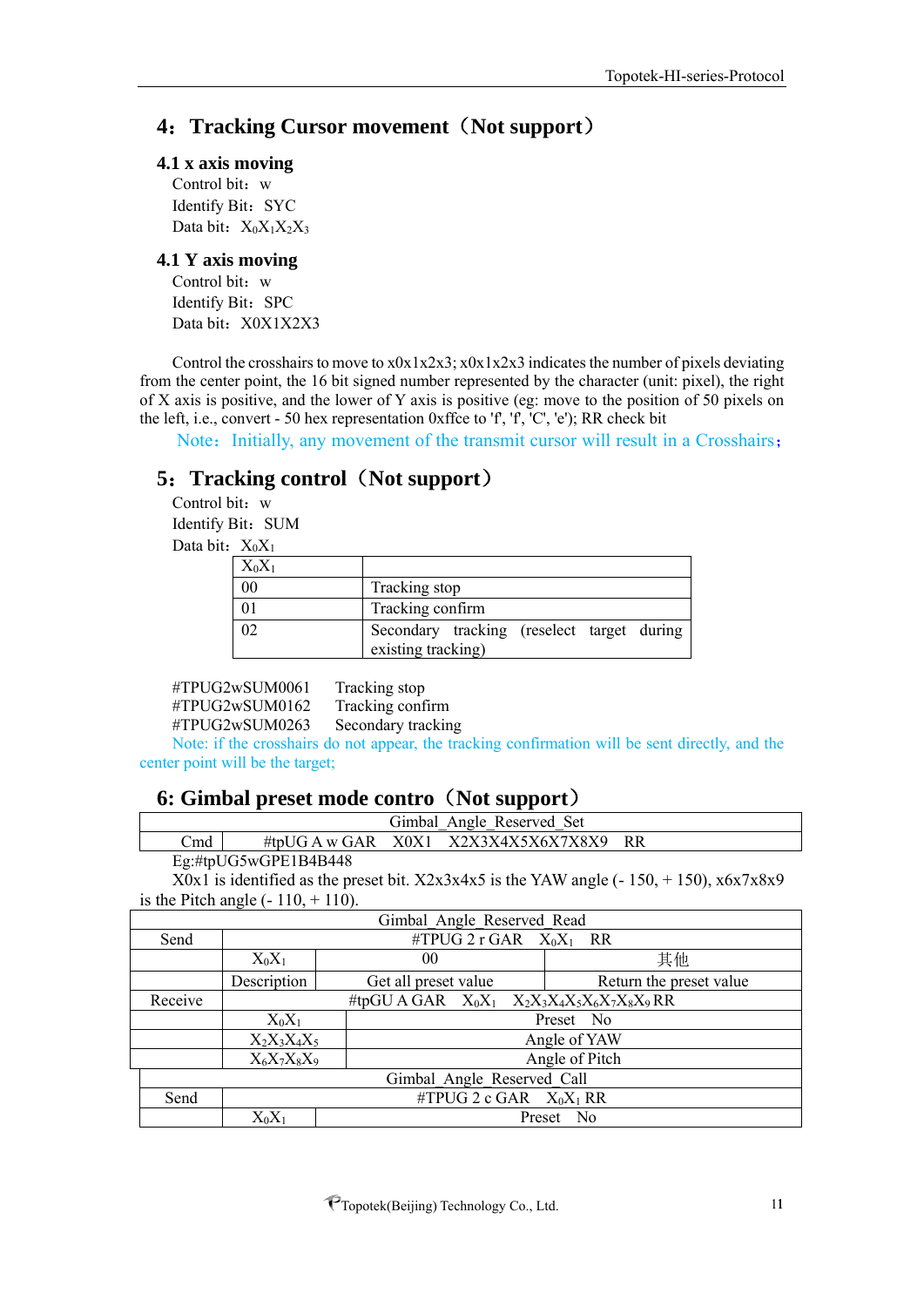# <span id="page-10-0"></span>**4**:**Tracking Cursor movement**(**Not support**)

#### **4.1 x axis moving**

Control bit:  $w$ Identify Bit: SYC Data bit:  $X_0X_1X_2X_3$ 

#### **4.1 Y axis moving**

Control bit: w Identify Bit: SPC Data bit: X0X1X2X3

Control the crosshairs to move to x0x1x2x3; x0x1x2x3 indicates the number of pixels deviating from the center point, the 16 bit signed number represented by the character (unit: pixel), the right of X axis is positive, and the lower of Y axis is positive (eg: move to the position of 50 pixels on the left, i.e., convert - 50 hex representation 0xffce to  $f'$ ,  $f'$ ,  $C'$ ,  $e'$ ); RR check bit

Note: Initially, any movement of the transmit cursor will result in a Crosshairs;

# <span id="page-10-1"></span>**5**:**Tracking control**(**Not support**)

Control bit: w Identify Bit: SUM Data bit:  $X_0X_1$ 

| $X_0X_1$ |                                                                  |
|----------|------------------------------------------------------------------|
| 00       | Tracking stop                                                    |
|          | Tracking confirm                                                 |
|          | Secondary tracking (reselect target during<br>existing tracking) |

#TPUG2wSUM0061 Tracking stop #TPUG2wSUM0162 Tracking confirm #TPUG2wSUM0263 Secondary tracking

Note: if the crosshairs do not appear, the tracking confirmation will be sent directly, and the center point will be the target;

#### <span id="page-10-2"></span>**6: Gimbal preset mode contro**(**Not support**)

|     |                                            | Gimbal Angle Reserved Set               |    |  |
|-----|--------------------------------------------|-----------------------------------------|----|--|
| วmd |                                            | #tpUG A w GAR $X0X1$ $X2X3X4X5X6X7X8X9$ | RR |  |
|     | $E \parallel W \parallel TOC$ $CDF1D4DA40$ |                                         |    |  |

Eg:#tpUG5wGPE1B4B448

X0x1 is identified as the preset bit.  $X2x3x4x5$  is the YAW angle (- 150, + 150),  $x6x7x8x9$ is the Pitch angle  $(-110, +110)$ .

|         | Gimbal Angle Reserved Read                        |                                  |  |                         |  |  |
|---------|---------------------------------------------------|----------------------------------|--|-------------------------|--|--|
| Send    | #TPUG 2 r GAR $X_0X_1$ RR                         |                                  |  |                         |  |  |
|         | $X_0X_1$                                          | 00                               |  | 其他                      |  |  |
|         | Description                                       | Get all preset value             |  | Return the preset value |  |  |
| Receive | #tpGU A GAR $X_0X_1$ $X_2X_3X_4X_5X_6X_7X_8X_9RR$ |                                  |  |                         |  |  |
|         | $X_0X_1$<br>Preset No                             |                                  |  |                         |  |  |
|         | Angle of YAW<br>$X_2X_3X_4X_5$                    |                                  |  |                         |  |  |
|         |                                                   | Angle of Pitch<br>$X_6X_7X_8X_9$ |  |                         |  |  |
|         | Gimbal Angle Reserved Call                        |                                  |  |                         |  |  |
| Send    | #TPUG 2 c GAR $X_0X_1$ RR                         |                                  |  |                         |  |  |
|         | $\rm X_0X_1$                                      | Preset No                        |  |                         |  |  |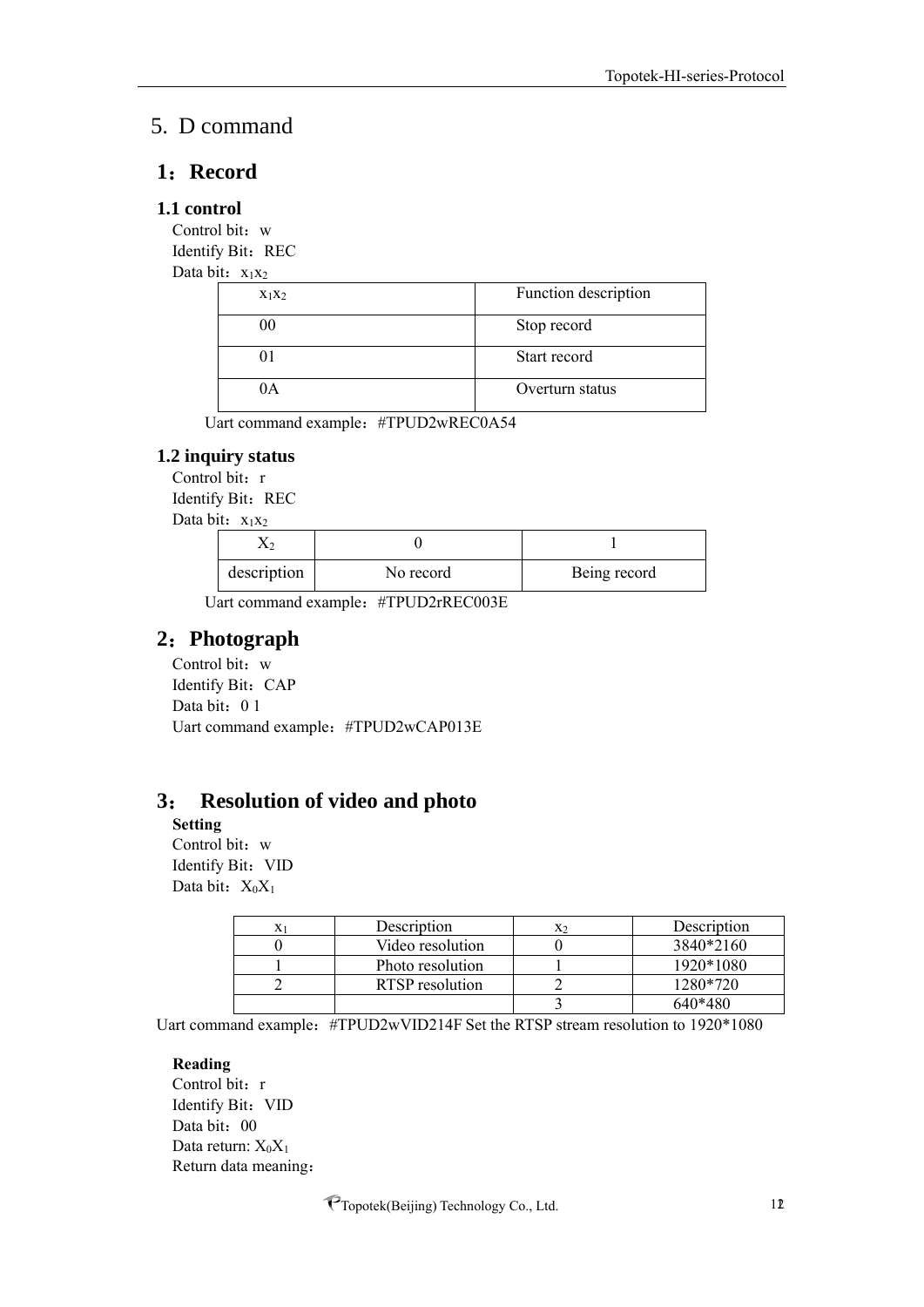# <span id="page-11-0"></span>5. D command

#### <span id="page-11-1"></span>**1**:**Record**

#### **1.1 control**

Control bit: w Identify Bit: REC

Data bit:  $x_1x_2$ 

| $X_1X_2$ | Function description |
|----------|----------------------|
|          | Stop record          |
|          | Start record         |
| IА       | Overturn status      |

Uart command example: #TPUD2wREC0A54

#### **1.2 inquiry status**

Control bit: r Identify Bit: REC Data bit:  $x_1x_2$ 

| description | No record | Being record |  |
|-------------|-----------|--------------|--|

Uart command example:#TPUD2rREC003E

## <span id="page-11-2"></span>**2**:**Photograph**

Control bit: w Identify Bit: CAP Data bit: 0 1 Uart command example:#TPUD2wCAP013E

## <span id="page-11-3"></span>**3**: **Resolution of video and photo**

**Setting**

Control bit: w Identify Bit: VID Data bit:  $X_0X_1$ 

| Description      | X٥ | Description |
|------------------|----|-------------|
| Video resolution |    | 3840*2160   |
| Photo resolution |    | 1920*1080   |
| RTSP resolution  |    | 1280*720    |
|                  |    | 640*480     |

Uart command example: #TPUD2wVID214F Set the RTSP stream resolution to 1920\*1080

#### **Reading**

Control bit: r Identify Bit: VID Data bit: 00 Data return:  $X_0X_1$ Return data meaning: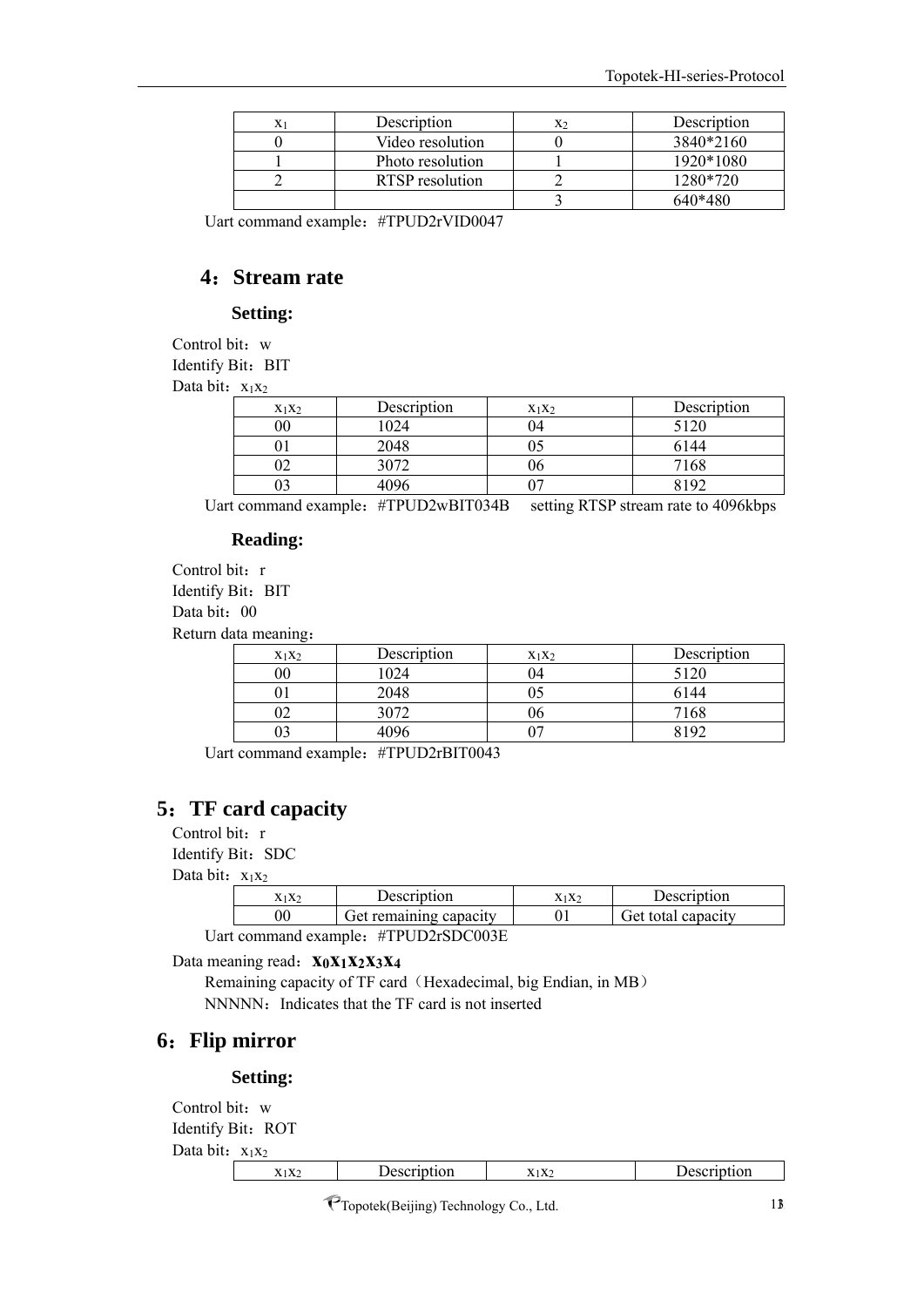| X <sub>1</sub> | Description      | X2 | Description |
|----------------|------------------|----|-------------|
|                | Video resolution |    | 3840*2160   |
|                | Photo resolution |    | 1920*1080   |
|                | RTSP resolution  |    | 1280*720    |
|                |                  |    | 640*480     |

Uart command example:#TPUD2rVID0047

#### <span id="page-12-0"></span>**4**:**Stream rate**

#### **Setting:**

Control bit: w Identify Bit: BIT

Data bit:  $x_1x_2$ 

| $X_1X_2$ | Description | $X_1X_2$ | Description |
|----------|-------------|----------|-------------|
| 00       | 024         | 14       | 5120        |
|          | 2048        |          | 6144        |
|          | 3072        |          | 7168        |
|          |             |          | 8107        |

Uart command example: #TPUD2wBIT034B setting RTSP stream rate to 4096kbps

#### **Reading:**

Control bit: r Identify Bit: BIT Data bit: 00 Return data meaning:

| $X_1X_2$ | Description | $X_1X_2$ | Description |
|----------|-------------|----------|-------------|
| $00\,$   | 1024        | 14       | 5120        |
|          | 2048        |          | 6144        |
|          | 3072        | Un       | 7168        |
|          | 1096        |          | 10″         |

Uart command example:#TPUD2rBIT0043

#### <span id="page-12-1"></span>**5**:**TF card capacity**

Control bit: r

Identify Bit: SDC

Data bit:  $x_1x_2$ 

| $X_1X_2$                       | Description            | $X_1X_2$ | Description        |  |  |
|--------------------------------|------------------------|----------|--------------------|--|--|
| 00                             | Get remaining capacity |          | Get total capacity |  |  |
| $\mu$ TDI IDQCD $\Omega$ 002 E |                        |          |                    |  |  |

Uart command example:#TPUD2rSDC003E

Data meaning read:**x0x1x2x3x<sup>4</sup>**

Remaining capacity of TF card (Hexadecimal, big Endian, in MB) NNNNN: Indicates that the TF card is not inserted

# <span id="page-12-2"></span>**6**:**Flip mirror**

#### **Setting:**

```
Control bit: w
Identify Bit: ROT
Data bit: x_1x_2x<sub>1</sub>x<sub>2</sub> Description x<sub>1</sub>x<sub>2</sub> Description
```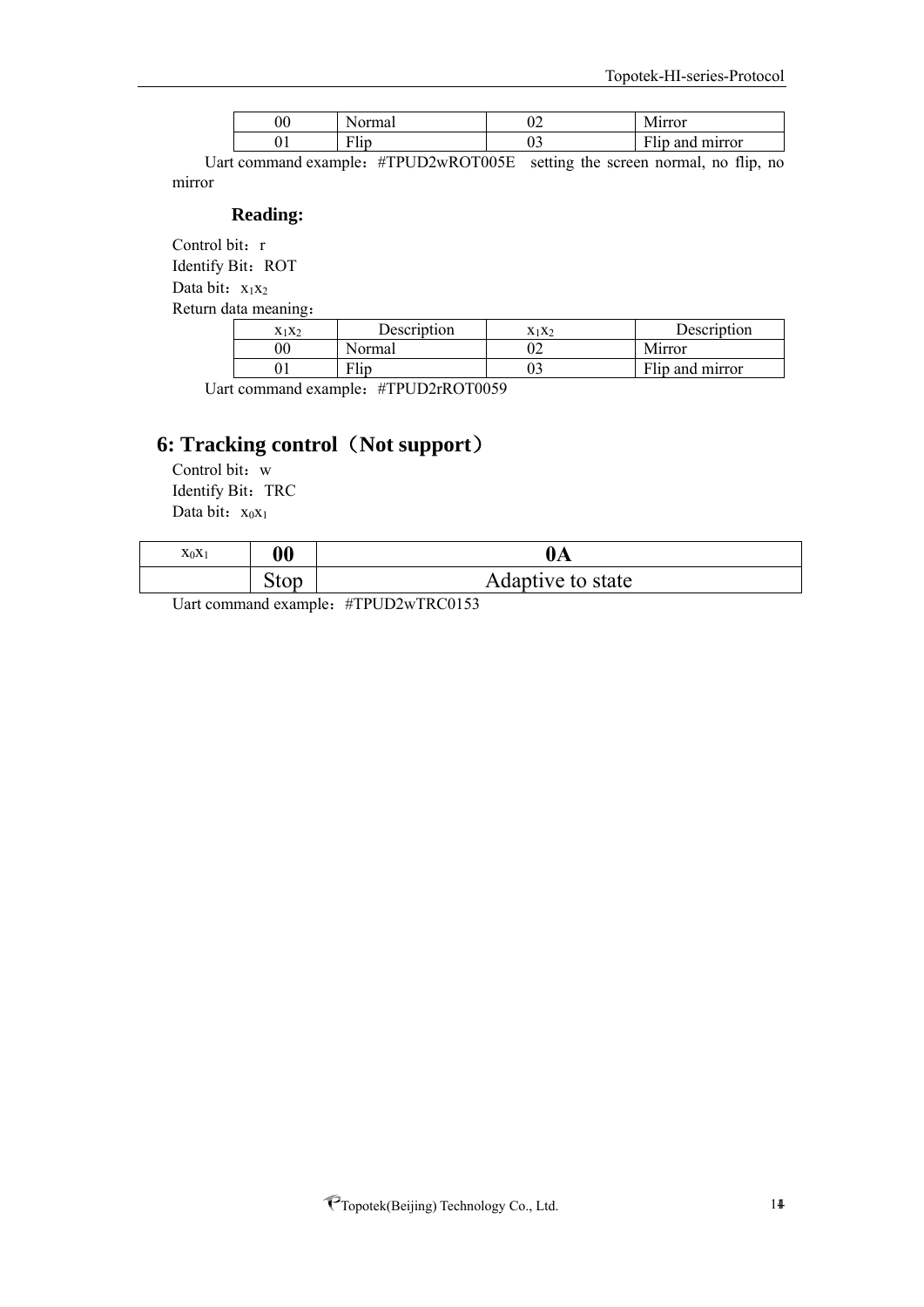| 90 | $-1$              | ◡▵ | 111122221<br>עיו                                                                |
|----|-------------------|----|---------------------------------------------------------------------------------|
|    | $-1$<br>.<br>F HD | ັ  | $T = 1$<br>mirror<br>and<br>$\overline{\phantom{a}}$<br>1. III.<br>$\mathbf{u}$ |

Uart command example: #TPUD2wROT005E setting the screen normal, no flip, no mirror

#### **Reading:**

Control bit: r Identify Bit: ROT

Data bit:  $x_1x_2$ 

Return data meaning:

| $X_1X_2$ | Description | X1X2 | Description     |
|----------|-------------|------|-----------------|
|          | sormal      |      | Mirror          |
|          |             |      | Flip and mirror |

Uart command example:#TPUD2rROT0059

# **6: Tracking control**(**Not support**)

Control bit: w Identify Bit: TRC Data bit:  $x_0x_1$ 

| $X_0X_1$ | 00   | $0\text{A}$       |
|----------|------|-------------------|
|          | Stop | Adaptive to state |

Uart command example: #TPUD2wTRC0153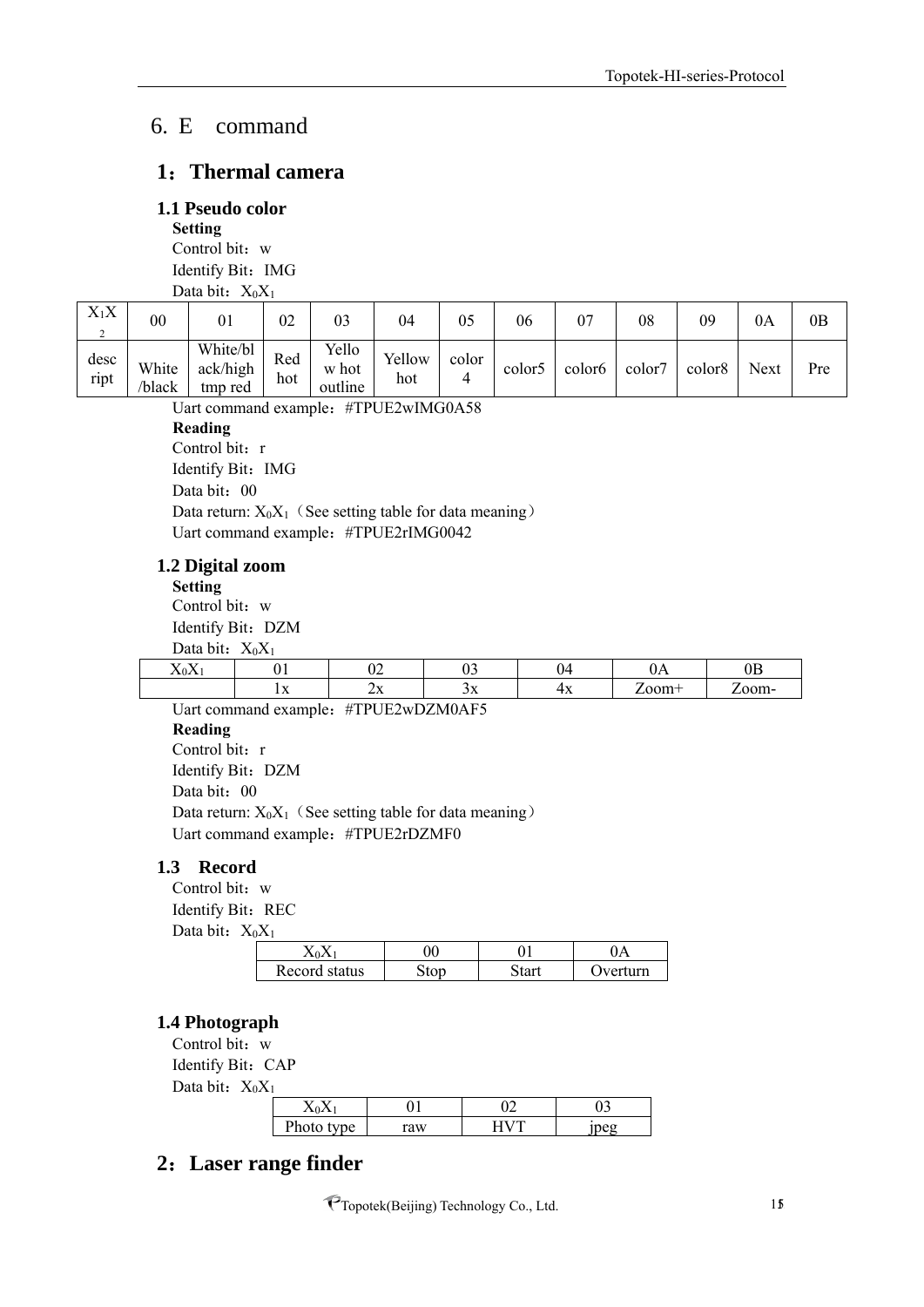# <span id="page-14-0"></span>6. E command

#### <span id="page-14-1"></span>**1**:**Thermal camera**

#### <span id="page-14-2"></span>**1.1 Pseudo color**

**Setting** Control bit: w Identify Bit: IMG Data bit:  $X_0X_1$ 

| $X_1X$<br>◠<br>∸ | 00              | 01                              | 02         | 03                        | 04            | 05    | 06                 | 07                 | 08     | 09                 | 0A   | 0B  |
|------------------|-----------------|---------------------------------|------------|---------------------------|---------------|-------|--------------------|--------------------|--------|--------------------|------|-----|
| desc<br>ript     | White<br>/black | White/bl<br>ack/high<br>tmp red | Red<br>hot | Yello<br>w hot<br>outline | Yellow<br>hot | color | color <sub>5</sub> | color <sub>6</sub> | color7 | color <sub>8</sub> | Next | Pre |

Uart command example: #TPUE2wIMG0A58 **Reading**

Control bit: r

Identify Bit: IMG Data bit: 00 Data return:  $X_0X_1$  (See setting table for data meaning) Uart command example:#TPUE2rIMG0042

#### <span id="page-14-3"></span>**1.2 Digital zoom**

**Setting**

Control bit: w Identify Bit: DZM Data bit:  $X_0X_1$ 

| $D$ utu $D$ itte $\lambda$                 |           |    |                                                                                 |    |        |     |
|--------------------------------------------|-----------|----|---------------------------------------------------------------------------------|----|--------|-----|
| $\mathbf{r}$<br>$\cdot$ $\cdot$<br>A ZON Z | , 1       | ◡∠ |                                                                                 | 04 | UI 1   | பப  |
|                                            | <b>TV</b> | ∠∧ | -21                                                                             | тΛ | $\sim$ | 20m |
|                                            | __        |    | the contract of the contract of the contract of the contract of the contract of |    |        |     |

Uart command example:#TPUE2wDZM0AF5 **Reading** Control bit: r Identify Bit: DZM Data bit: 00 Data return:  $X_0X_1$  (See setting table for data meaning) Uart command example: #TPUE2rDZMF0

#### <span id="page-14-4"></span>**1.3 Record**

Control bit: w Identify Bit: REC

Data bit:  $X_0X_1$ 

|                  | )( | $\Delta$      |
|------------------|----|---------------|
| Record<br>status | ັບ | $^{\sim}$ ירי |

#### <span id="page-14-5"></span>**1.4 Photograph**

Control bit: w Identify Bit: CAP Data bit:  $X_0X_1$ 

| $-1$ |      |    |   |
|------|------|----|---|
|      |      |    | ັ |
|      | vne. | aw |   |

## <span id="page-14-6"></span>**2**:**Laser range finder**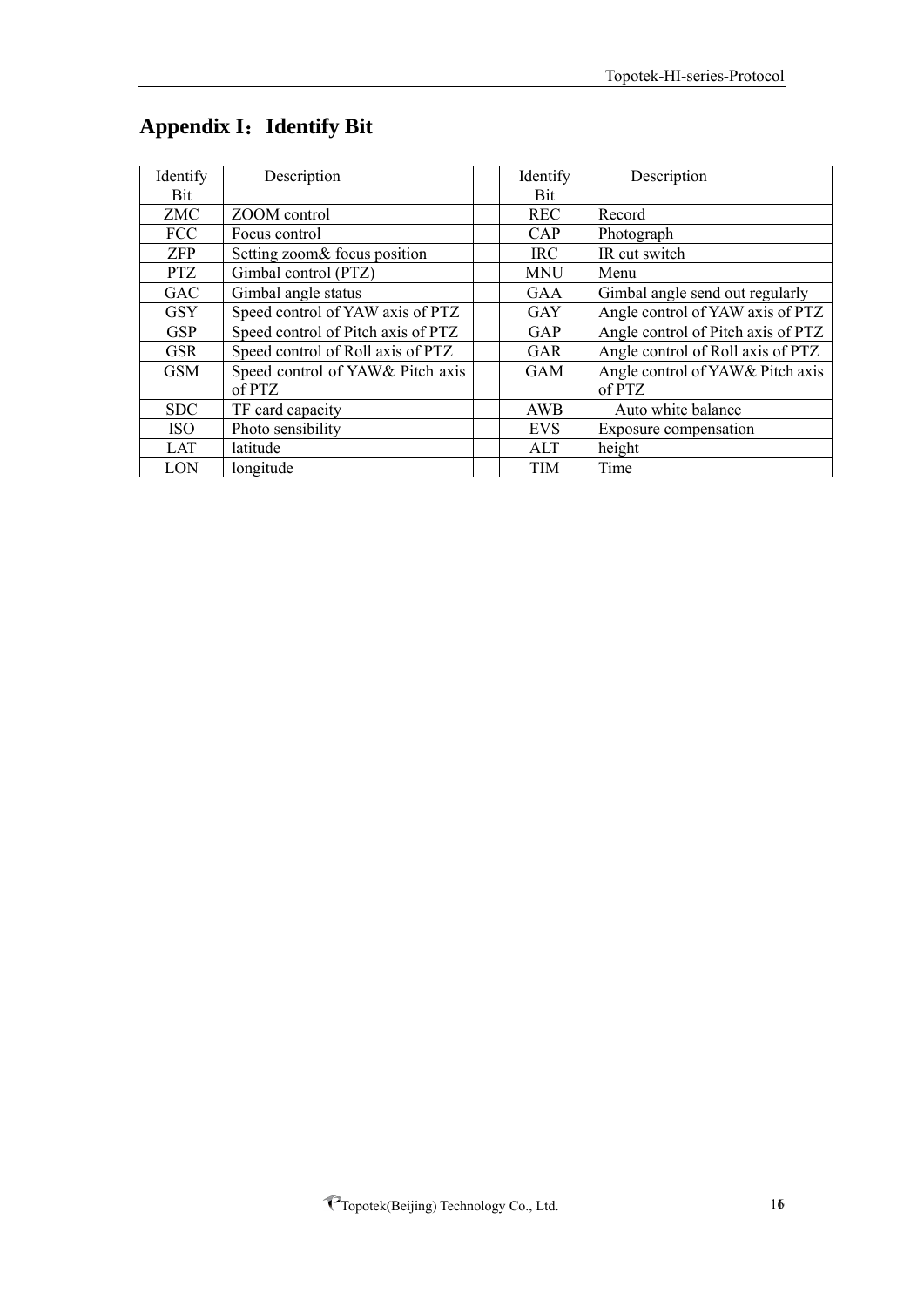| Identify   | Description                        | Identify   | Description                        |
|------------|------------------------------------|------------|------------------------------------|
| Bit        |                                    | <b>Bit</b> |                                    |
| <b>ZMC</b> | ZOOM control                       | <b>REC</b> | Record                             |
| <b>FCC</b> | Focus control                      | CAP        | Photograph                         |
| <b>ZFP</b> | Setting zoom& focus position       | <b>IRC</b> | IR cut switch                      |
| <b>PTZ</b> | Gimbal control (PTZ)               | <b>MNU</b> | Menu                               |
| <b>GAC</b> | Gimbal angle status                | <b>GAA</b> | Gimbal angle send out regularly    |
| <b>GSY</b> | Speed control of YAW axis of PTZ   | <b>GAY</b> | Angle control of YAW axis of PTZ   |
| <b>GSP</b> | Speed control of Pitch axis of PTZ | GAP        | Angle control of Pitch axis of PTZ |
| <b>GSR</b> | Speed control of Roll axis of PTZ  | <b>GAR</b> | Angle control of Roll axis of PTZ  |
| <b>GSM</b> | Speed control of YAW& Pitch axis   | <b>GAM</b> | Angle control of YAW& Pitch axis   |
|            | of PTZ                             |            | of PTZ                             |
| <b>SDC</b> | TF card capacity                   | AWB        | Auto white balance                 |
| <b>ISO</b> | Photo sensibility                  | <b>EVS</b> | Exposure compensation              |
| LAT        | latitude                           | ALT        | height                             |
| LON        | longitude                          | <b>TIM</b> | Time                               |

# <span id="page-15-0"></span>**Appendix I**:**Identify Bit**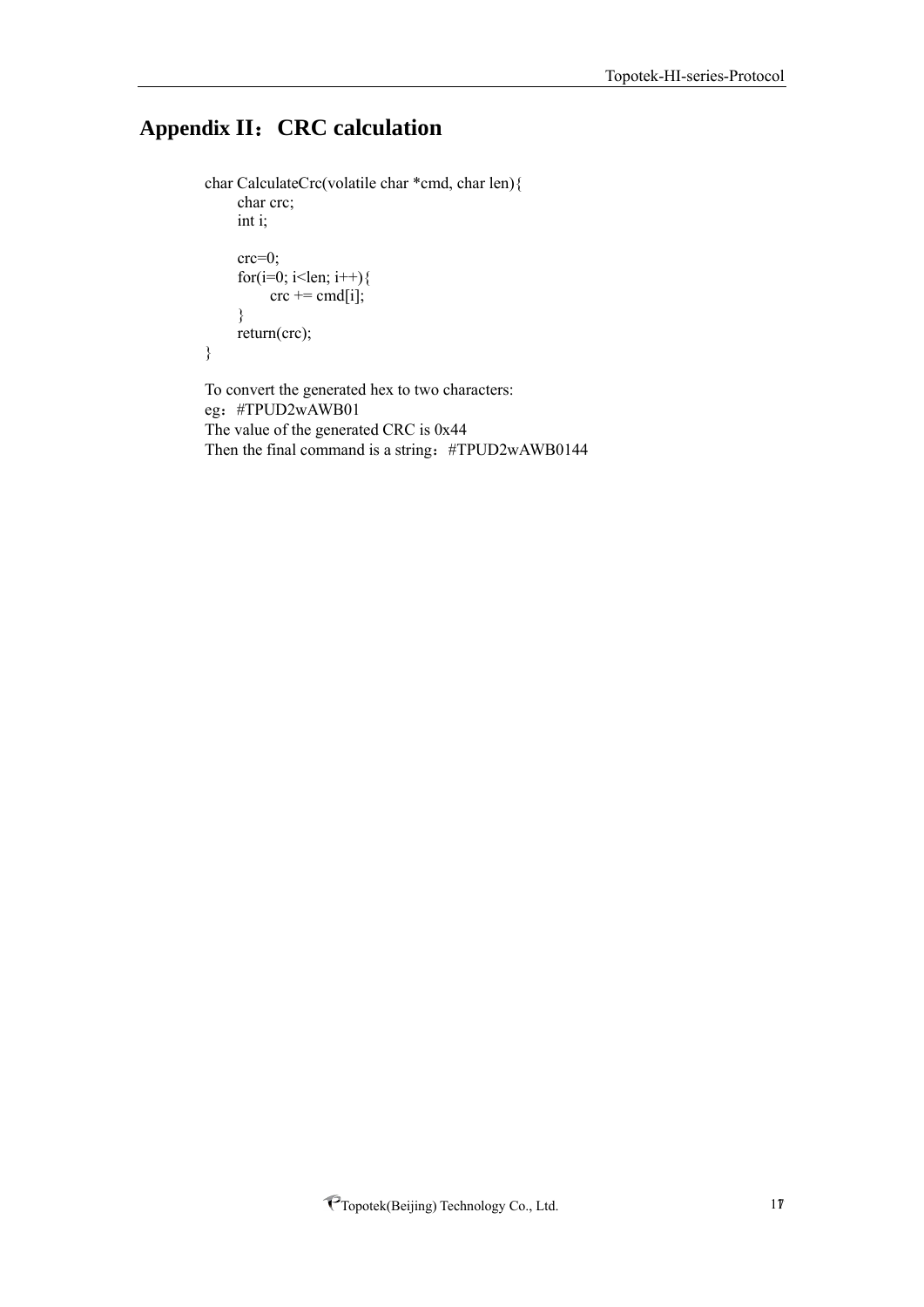# <span id="page-16-0"></span>**Appendix II**:**CRC calculation**

```
char CalculateCrc(volatile char *cmd, char len){ 
     char crc;
     int i;
     crc=0;
     for(i=0; i<len; i++){
           \text{crc} \mathrel{+}= \text{cmd}[i];}
     return(crc);
}
To convert the generated hex to two characters:
```
eg:#TPUD2wAWB01 The value of the generated CRC is 0x44 Then the final command is a string: #TPUD2wAWB0144